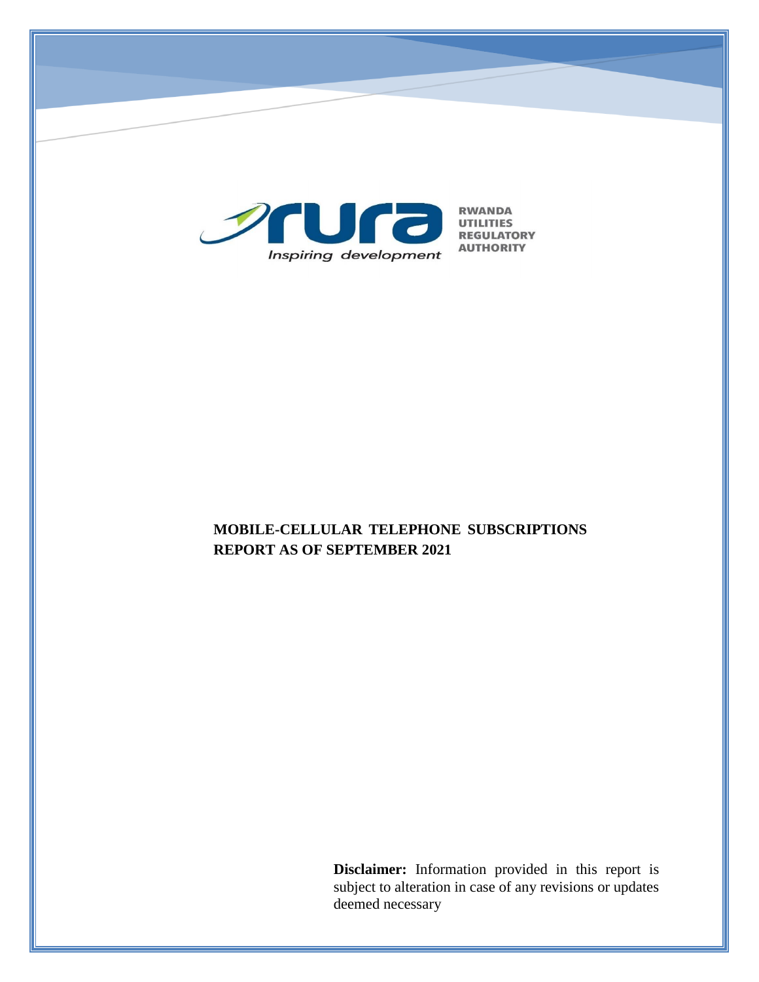

# **MOBILE-CELLULAR TELEPHONE SUBSCRIPTIONS REPORT AS OF SEPTEMBER 2021**

**Disclaimer:** Information provided in this report is subject to alteration in case of any revisions or updates deemed necessary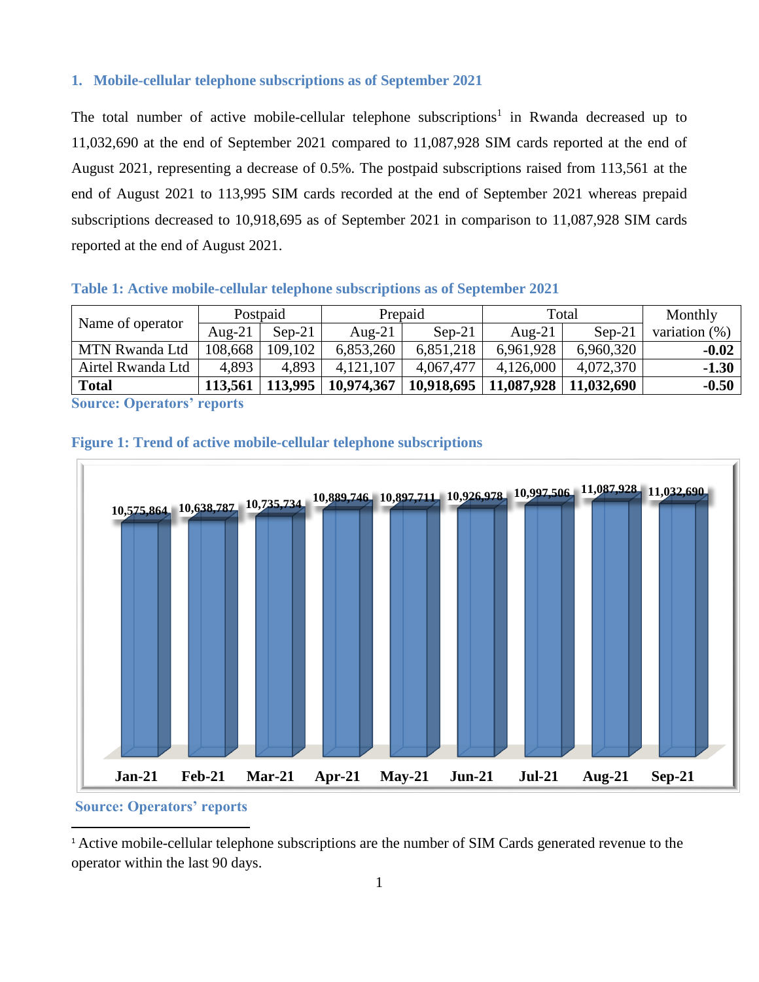#### **1. Mobile-cellular telephone subscriptions as of September 2021**

The total number of active mobile-cellular telephone subscriptions<sup>1</sup> in Rwanda decreased up to 11,032,690 at the end of September 2021 compared to 11,087,928 SIM cards reported at the end of August 2021, representing a decrease of 0.5%. The postpaid subscriptions raised from 113,561 at the end of August 2021 to 113,995 SIM cards recorded at the end of September 2021 whereas prepaid subscriptions decreased to 10,918,695 as of September 2021 in comparison to 11,087,928 SIM cards reported at the end of August 2021.

**Table 1: Active mobile-cellular telephone subscriptions as of September 2021**

| Name of operator           | Postpaid  |          | Prepaid    |            | Total      |            | Monthly          |
|----------------------------|-----------|----------|------------|------------|------------|------------|------------------|
|                            | Aug- $21$ | $Sep-21$ | Aug- $21$  | $Sep-21$   | Aug- $21$  | $Sep-21$   | variation $(\%)$ |
| <b>MTN Rwanda Ltd</b>      | 108,668   | 109,102  | 6,853,260  | 6,851,218  | 6,961,928  | 6,960,320  | $-0.02$          |
| Airtel Rwanda Ltd          | 4,893     | 4.893    | 4,121,107  | 4,067,477  | 4,126,000  | 4,072,370  | $-1.30$          |
| <b>Total</b>               | 113.561   | 113,995  | 10,974,367 | 10,918,695 | 11,087,928 | 11,032,690 | $-0.50$          |
| $\Omega$ $\Omega$ $\Omega$ |           |          |            |            |            |            |                  |

**Source: Operators' reports**





**Source: Operators' reports**

 $\overline{a}$ 

<sup>1</sup> Active mobile-cellular telephone subscriptions are the number of SIM Cards generated revenue to the operator within the last 90 days.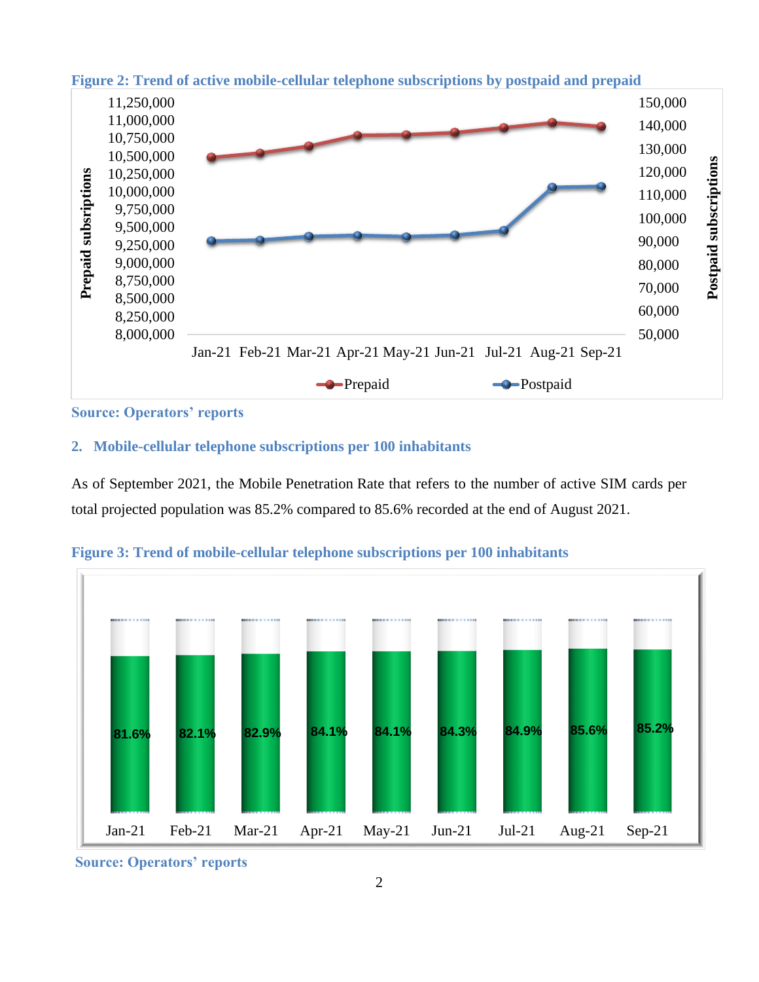

### **Figure 2: Trend of active mobile-cellular telephone subscriptions by postpaid and prepaid**

**Source: Operators' reports**

#### **2. Mobile-cellular telephone subscriptions per 100 inhabitants**

As of September 2021, the Mobile Penetration Rate that refers to the number of active SIM cards per total projected population was 85.2% compared to 85.6% recorded at the end of August 2021.



**Figure 3: Trend of mobile-cellular telephone subscriptions per 100 inhabitants**

**Source: Operators' reports**